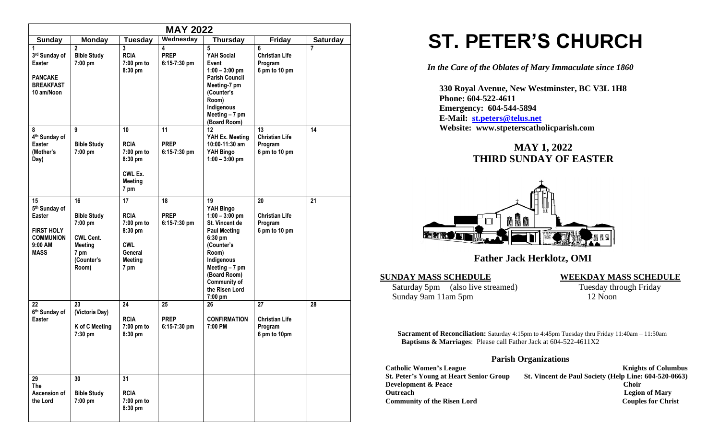| <b>MAY 2022</b>                                                                                                      |                                                                                                          |                                                                                               |                                                        |                                                                                                                                                                                                             |                                                         |                |
|----------------------------------------------------------------------------------------------------------------------|----------------------------------------------------------------------------------------------------------|-----------------------------------------------------------------------------------------------|--------------------------------------------------------|-------------------------------------------------------------------------------------------------------------------------------------------------------------------------------------------------------------|---------------------------------------------------------|----------------|
| Wednesday<br><b>Monday</b><br><b>Tuesday</b><br><b>Thursday</b><br><b>Friday</b><br><b>Saturday</b><br><b>Sunday</b> |                                                                                                          |                                                                                               |                                                        |                                                                                                                                                                                                             |                                                         |                |
| 1<br>3rd Sunday of<br>Easter<br><b>PANCAKE</b><br><b>BREAKFAST</b><br>10 am/Noon                                     | $\overline{2}$<br><b>Bible Study</b><br>7:00 pm                                                          | 3<br><b>RCIA</b><br>7:00 pm to<br>8:30 pm                                                     | $\overline{\mathbf{4}}$<br><b>PREP</b><br>6:15-7:30 pm | 5<br>YAH Social<br>Event<br>$1:00 - 3:00$ pm<br><b>Parish Council</b><br>Meeting-7 pm<br>(Counter's<br>Room)<br>Indigenous<br>Meeting $-7$ pm<br>(Board Room)                                               | 6<br><b>Christian Life</b><br>Program<br>6 pm to 10 pm  | $\overline{7}$ |
| 8<br>4 <sup>th</sup> Sunday of<br><b>Easter</b><br>(Mother's<br>Day)                                                 | 9<br><b>Bible Study</b><br>7:00 pm                                                                       | 10<br><b>RCIA</b><br>7:00 pm to<br>8:30 pm<br>CWL Ex.<br><b>Meeting</b><br>7 pm               | 11<br><b>PREP</b><br>$6:15-7:30$ pm                    | 12<br>YAH Ex. Meeting<br>10:00-11:30 am<br>YAH Bingo<br>$1:00 - 3:00$ pm                                                                                                                                    | 13<br><b>Christian Life</b><br>Program<br>6 pm to 10 pm | 14             |
| 15<br>5 <sup>th</sup> Sunday of<br>Easter<br><b>FIRST HOLY</b><br><b>COMMUNION</b><br>$9:00$ AM<br><b>MASS</b>       | 16<br><b>Bible Study</b><br>7:00 pm<br><b>CWL Cent.</b><br><b>Meeting</b><br>7 pm<br>(Counter's<br>Room) | 17<br><b>RCIA</b><br>7:00 pm to<br>8:30 pm<br><b>CWL</b><br>General<br><b>Meeting</b><br>7 pm | 18<br><b>PREP</b><br>6:15-7:30 pm                      | 19<br>YAH Bingo<br>$1:00 - 3:00$ pm<br>St. Vincent de<br><b>Paul Meeting</b><br>6:30 pm<br>(Counter's<br>Room)<br>Indigenous<br>Meeting - 7 pm<br>(Board Room)<br>Community of<br>the Risen Lord<br>7:00 pm | 20<br><b>Christian Life</b><br>Program<br>6 pm to 10 pm | 21             |
| 22<br>6th Sunday of<br>Easter                                                                                        | 23<br>(Victoria Day)<br>K of C Meeting<br>7:30 pm                                                        | 24<br><b>RCIA</b><br>7:00 pm to<br>8:30 pm                                                    | 25<br><b>PREP</b><br>6:15-7:30 pm                      | 26<br><b>CONFIRMATION</b><br>7:00 PM                                                                                                                                                                        | 27<br><b>Christian Life</b><br>Program<br>6 pm to 10pm  | 28             |
| 29<br><b>The</b><br>Ascension of<br>the Lord                                                                         | 30<br><b>Bible Study</b><br>7:00 pm                                                                      | 31<br><b>RCIA</b><br>7:00 pm to<br>8:30 pm                                                    |                                                        |                                                                                                                                                                                                             |                                                         |                |

# **ST. PETER'S CHURCH**

*In the Care of the Oblates of Mary Immaculate since 1860*

 **330 Royal Avenue, New Westminster, BC V3L 1H8 Phone: 604-522-4611 Emergency: 604-544-5894 E-Mail: [st.peters@telus.net](mailto:st.peters@telus.net) Website: www.stpeterscatholicparish.com**

## **MAY 1, 2022 THIRD SUNDAY OF EASTER**



## **Father Jack Herklotz, OMI**

#### **SUNDAY MASS SCHEDULE WEEKDAY MASS SCHEDULE**

Saturday 5pm (also live streamed) Tuesday through Friday Sunday 9am 11am 5pm 12 Noon

**Sacrament of Reconciliation:** Saturday 4:15pm to 4:45pm Tuesday thru Friday 11:40am – 11:50am  **Baptisms & Marriages**: Please call Father Jack at 604-522-4611X2

### **Parish Organizations**

| <b>Catholic Women's League</b>                 | <b>Knights of Columbus</b>                            |
|------------------------------------------------|-------------------------------------------------------|
| <b>St. Peter's Young at Heart Senior Group</b> | St. Vincent de Paul Society (Help Line: 604-520-0663) |
| <b>Development &amp; Peace</b>                 | <b>Choir</b>                                          |
| <b>Outreach</b>                                | <b>Legion of Mary</b>                                 |
| <b>Community of the Risen Lord</b>             | <b>Couples for Christ</b>                             |